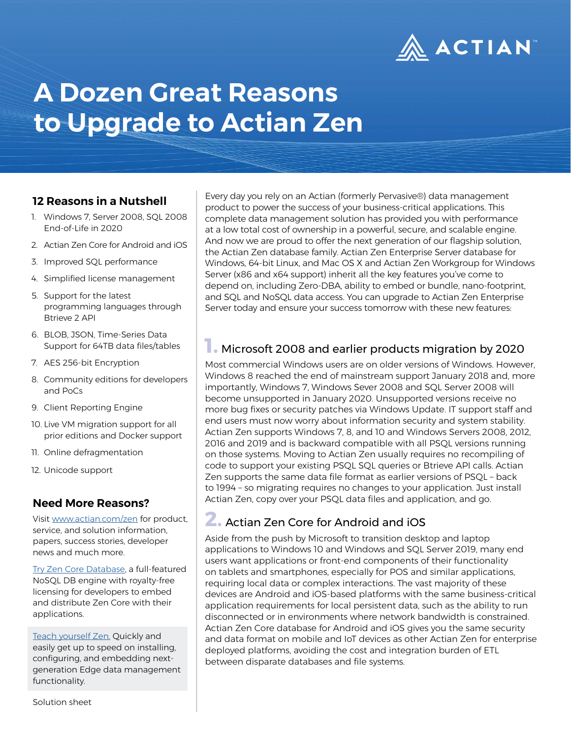

# **A Dozen Great Reasons to Upgrade to Actian Zen**

#### **12 Reasons in a Nutshell**

- 1. Windows 7, Server 2008, SQL 2008 End-of-Life in 2020
- 2. Actian Zen Core for Android and iOS
- 3. Improved SQL performance
- 4. Simplified license management
- 5. Support for the latest programming languages through Btrieve 2 API
- 6. BLOB, JSON, Time-Series Data Support for 64TB data files/tables
- 7. AES 256-bit Encryption
- 8. Community editions for developers and PoCs
- 9. Client Reporting Engine
- 10. Live VM migration support for all prior editions and Docker support
- 11. Online defragmentation
- 12. Unicode support

#### **Need More Reasons?**

Visit [www.actian.com/zen](http://www.actian.com/zen) for product, service, and solution information, papers, success stories, developer news and much more.

[Try Zen Core Database](https://go.actian.com/ZenCoreFree-Development.html), a full-featured NoSQL DB engine with royalty-free licensing for developers to embed and distribute Zen Core with their applications.

[Teach yourself Zen.](http://zendocs.actian.com) Quickly and easily get up to speed on installing, configuring, and embedding nextgeneration Edge data management functionality.

Every day you rely on an Actian (formerly Pervasive®) data management product to power the success of your business-critical applications. This complete data management solution has provided you with performance at a low total cost of ownership in a powerful, secure, and scalable engine. And now we are proud to offer the next generation of our flagship solution, the Actian Zen database family. Actian Zen Enterprise Server database for Windows, 64-bit Linux, and Mac OS X and Actian Zen Workgroup for Windows Server (x86 and x64 support) inherit all the key features you've come to depend on, including Zero-DBA, ability to embed or bundle, nano-footprint, and SQL and NoSQL data access. You can upgrade to Actian Zen Enterprise Server today and ensure your success tomorrow with these new features:

#### **1.** Microsoft 2008 and earlier products migration by 2020

Most commercial Windows users are on older versions of Windows. However, Windows 8 reached the end of mainstream support January 2018 and, more importantly, Windows 7, Windows Sever 2008 and SQL Server 2008 will become unsupported in January 2020. Unsupported versions receive no more bug fixes or security patches via Windows Update. IT support staff and end users must now worry about information security and system stability. Actian Zen supports Windows 7, 8, and 10 and Windows Servers 2008, 2012, 2016 and 2019 and is backward compatible with all PSQL versions running on those systems. Moving to Actian Zen usually requires no recompiling of code to support your existing PSQL SQL queries or Btrieve API calls. Actian Zen supports the same data file format as earlier versions of PSQL – back to 1994 – so migrating requires no changes to your application. Just install Actian Zen, copy over your PSQL data files and application, and go.

#### **2.** Actian Zen Core for Android and iOS

Aside from the push by Microsoft to transition desktop and laptop applications to Windows 10 and Windows and SQL Server 2019, many end users want applications or front-end components of their functionality on tablets and smartphones, especially for POS and similar applications, requiring local data or complex interactions. The vast majority of these devices are Android and iOS-based platforms with the same business-critical application requirements for local persistent data, such as the ability to run disconnected or in environments where network bandwidth is constrained. Actian Zen Core database for Android and iOS gives you the same security and data format on mobile and IoT devices as other Actian Zen for enterprise deployed platforms, avoiding the cost and integration burden of ETL between disparate databases and file systems.

Solution sheet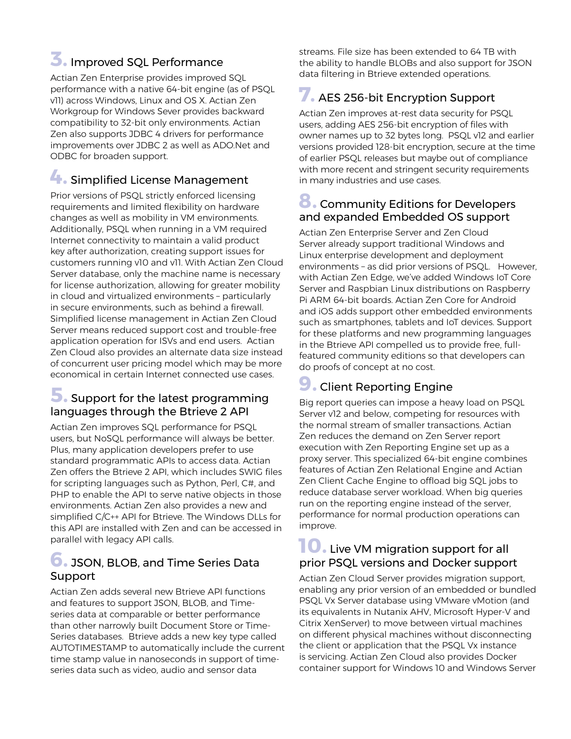## **3.** Improved SQL Performance

Actian Zen Enterprise provides improved SQL performance with a native 64-bit engine (as of PSQL v11) across Windows, Linux and OS X. Actian Zen Workgroup for Windows Sever provides backward compatibility to 32-bit only environments. Actian Zen also supports JDBC 4 drivers for performance improvements over JDBC 2 as well as ADO.Net and ODBC for broaden support.

## **4.** Simplified License Management

Prior versions of PSQL strictly enforced licensing requirements and limited flexibility on hardware changes as well as mobility in VM environments. Additionally, PSQL when running in a VM required Internet connectivity to maintain a valid product key after authorization, creating support issues for customers running v10 and v11. With Actian Zen Cloud Server database, only the machine name is necessary for license authorization, allowing for greater mobility in cloud and virtualized environments – particularly in secure environments, such as behind a firewall. Simplified license management in Actian Zen Cloud Server means reduced support cost and trouble-free application operation for ISVs and end users. Actian Zen Cloud also provides an alternate data size instead of concurrent user pricing model which may be more economical in certain Internet connected use cases.

### **5.** Support for the latest programming languages through the Btrieve 2 API

Actian Zen improves SQL performance for PSQL users, but NoSQL performance will always be better. Plus, many application developers prefer to use standard programmatic APIs to access data. Actian Zen offers the Btrieve 2 API, which includes SWIG files for scripting languages such as Python, Perl, C#, and PHP to enable the API to serve native objects in those environments. Actian Zen also provides a new and simplified C/C++ API for Btrieve. The Windows DLLs for this API are installed with Zen and can be accessed in parallel with legacy API calls.

#### **6.** JSON, BLOB, and Time Series Data Support

Actian Zen adds several new Btrieve API functions and features to support JSON, BLOB, and Timeseries data at comparable or better performance than other narrowly built Document Store or Time-Series databases. Btrieve adds a new key type called AUTOTIMESTAMP to automatically include the current time stamp value in nanoseconds in support of timeseries data such as video, audio and sensor data

streams. File size has been extended to 64 TB with the ability to handle BLOBs and also support for JSON data filtering in Btrieve extended operations.

## **7.** AES 256-bit Encryption Support

Actian Zen improves at-rest data security for PSQL users, adding AES 256-bit encryption of files with owner names up to 32 bytes long. PSQL v12 and earlier versions provided 128-bit encryption, secure at the time of earlier PSQL releases but maybe out of compliance with more recent and stringent security requirements in many industries and use cases.

#### **8.** Community Editions for Developers and expanded Embedded OS support

Actian Zen Enterprise Server and Zen Cloud Server already support traditional Windows and Linux enterprise development and deployment environments – as did prior versions of PSQL. However, with Actian Zen Edge, we've added Windows IoT Core Server and Raspbian Linux distributions on Raspberry Pi ARM 64-bit boards. Actian Zen Core for Android and iOS adds support other embedded environments such as smartphones, tablets and IoT devices. Support for these platforms and new programming languages in the Btrieve API compelled us to provide free, fullfeatured community editions so that developers can do proofs of concept at no cost.

# **9.** Client Reporting Engine

Big report queries can impose a heavy load on PSQL Server v12 and below, competing for resources with the normal stream of smaller transactions. Actian Zen reduces the demand on Zen Server report execution with Zen Reporting Engine set up as a proxy server. This specialized 64-bit engine combines features of Actian Zen Relational Engine and Actian Zen Client Cache Engine to offload big SQL jobs to reduce database server workload. When big queries run on the reporting engine instead of the server, performance for normal production operations can improve.

## **10.** Live VM migration support for all prior PSQL versions and Docker support

Actian Zen Cloud Server provides migration support, enabling any prior version of an embedded or bundled PSQL Vx Server database using VMware vMotion (and its equivalents in Nutanix AHV, Microsoft Hyper-V and Citrix XenServer) to move between virtual machines on different physical machines without disconnecting the client or application that the PSQL Vx instance is servicing. Actian Zen Cloud also provides Docker container support for Windows 10 and Windows Server